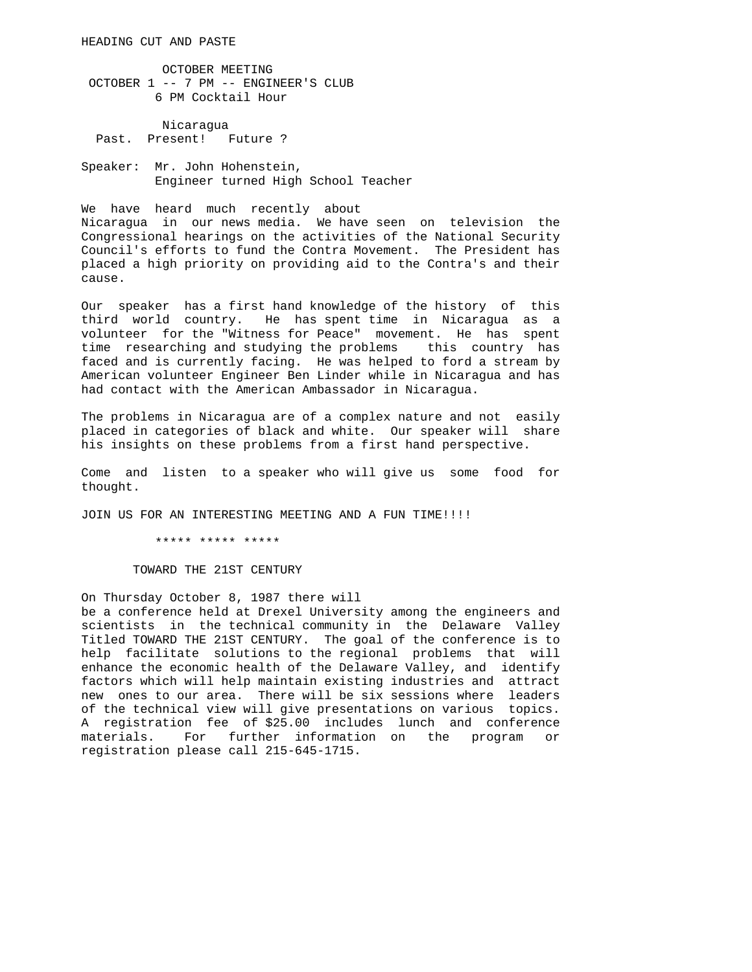OCTOBER MEETING OCTOBER 1 -- 7 PM -- ENGINEER'S CLUB 6 PM Cocktail Hour

 Nicaragua Past. Present! Future ?

Speaker: Mr. John Hohenstein, Engineer turned High School Teacher

We have heard much recently about Nicaragua in our news media. We have seen on television the Congressional hearings on the activities of the National Security Council's efforts to fund the Contra Movement. The President has placed a high priority on providing aid to the Contra's and their cause.

Our speaker has a first hand knowledge of the history of this third world country. He has spent time in Nicaragua as a volunteer for the "Witness for Peace" movement. He has spent time researching and studying the problems this country has faced and is currently facing. He was helped to ford a stream by American volunteer Engineer Ben Linder while in Nicaragua and has had contact with the American Ambassador in Nicaragua.

The problems in Nicaragua are of a complex nature and not easily placed in categories of black and white. Our speaker will share his insights on these problems from a first hand perspective.

Come and listen to a speaker who will give us some food for thought.

JOIN US FOR AN INTERESTING MEETING AND A FUN TIME!!!!

\*\*\*\*\* \*\*\*\*\* \*\*\*\*\*

TOWARD THE 21ST CENTURY

On Thursday October 8, 1987 there will be a conference held at Drexel University among the engineers and scientists in the technical community in the Delaware Valley Titled TOWARD THE 21ST CENTURY. The goal of the conference is to help facilitate solutions to the regional problems that will enhance the economic health of the Delaware Valley, and identify factors which will help maintain existing industries and attract new ones to our area. There will be six sessions where leaders of the technical view will give presentations on various topics. A registration fee of \$25.00 includes lunch and conference materials. For further information on the program or registration please call 215-645-1715.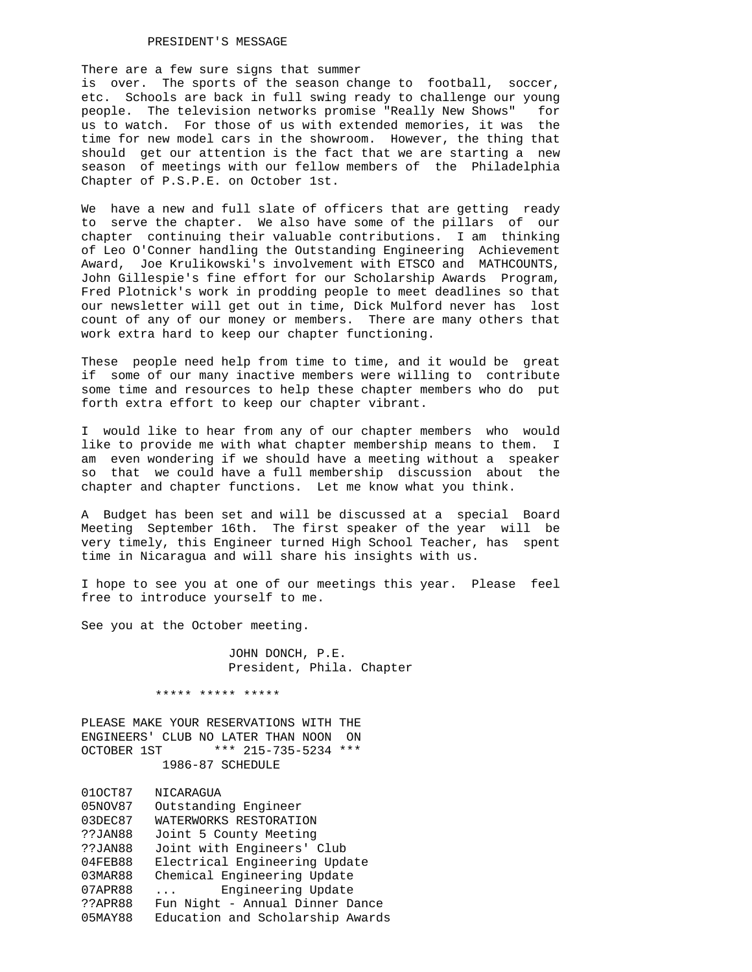## PRESIDENT'S MESSAGE

There are a few sure signs that summer

is over. The sports of the season change to football, soccer, etc. Schools are back in full swing ready to challenge our young people. The television networks promise "Really New Shows" for us to watch. For those of us with extended memories, it was the time for new model cars in the showroom. However, the thing that should get our attention is the fact that we are starting a new season of meetings with our fellow members of the Philadelphia Chapter of P.S.P.E. on October 1st.

We have a new and full slate of officers that are getting ready to serve the chapter. We also have some of the pillars of our chapter continuing their valuable contributions. I am thinking of Leo O'Conner handling the Outstanding Engineering Achievement Award, Joe Krulikowski's involvement with ETSCO and MATHCOUNTS, John Gillespie's fine effort for our Scholarship Awards Program, Fred Plotnick's work in prodding people to meet deadlines so that our newsletter will get out in time, Dick Mulford never has lost count of any of our money or members. There are many others that work extra hard to keep our chapter functioning.

These people need help from time to time, and it would be great if some of our many inactive members were willing to contribute some time and resources to help these chapter members who do put forth extra effort to keep our chapter vibrant.

I would like to hear from any of our chapter members who would like to provide me with what chapter membership means to them. I am even wondering if we should have a meeting without a speaker so that we could have a full membership discussion about the chapter and chapter functions. Let me know what you think.

A Budget has been set and will be discussed at a special Board Meeting September 16th. The first speaker of the year will be very timely, this Engineer turned High School Teacher, has spent time in Nicaragua and will share his insights with us.

I hope to see you at one of our meetings this year. Please feel free to introduce yourself to me.

See you at the October meeting.

 JOHN DONCH, P.E. President, Phila. Chapter

\*\*\*\*\* \*\*\*\*\* \*\*\*\*\*

PLEASE MAKE YOUR RESERVATIONS WITH THE ENGINEERS' CLUB NO LATER THAN NOON ON OCTOBER 1ST \*\*\* 215-735-5234 \*\*\* 1986-87 SCHEDULE

01OCT87 NICARAGUA 05NOV87 Outstanding Engineer 03DEC87 WATERWORKS RESTORATION ??JAN88 Joint 5 County Meeting ??JAN88 Joint with Engineers' Club 04FEB88 Electrical Engineering Update 03MAR88 Chemical Engineering Update 07APR88 ... Engineering Update ??APR88 Fun Night - Annual Dinner Dance 05MAY88 Education and Scholarship Awards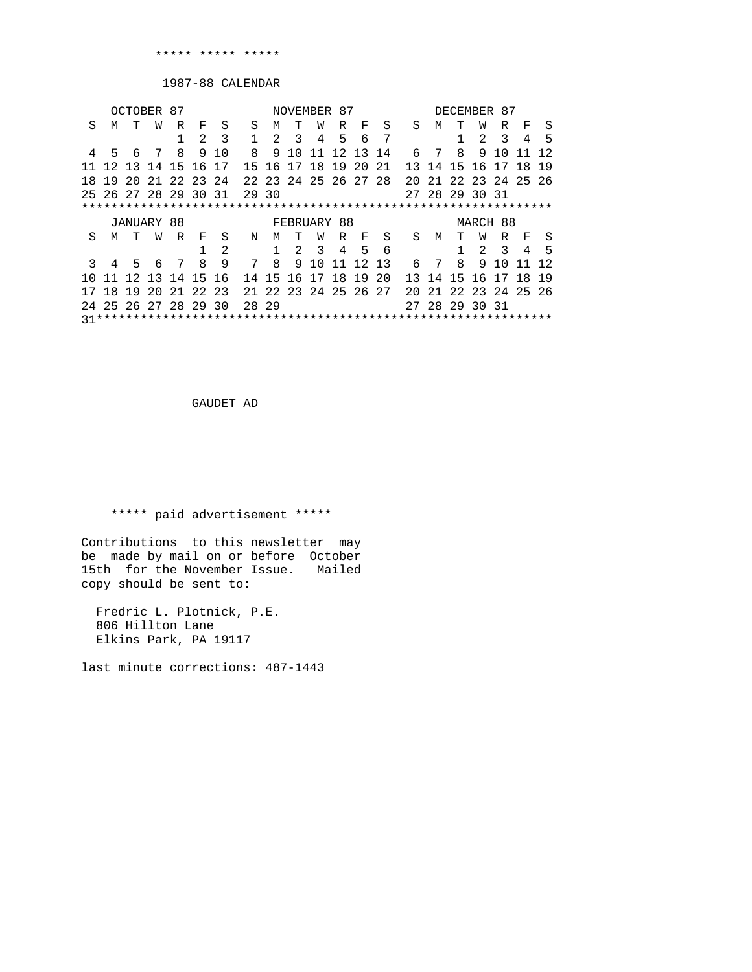1987-88 CALENDAR

| OCTOBER 87 |                      |    |                   |     |               |                                        |              |   |         | NOVEMBER 87    |                     |                      |     |    |                | DECEMBER 87  |          |                         |                      |      |
|------------|----------------------|----|-------------------|-----|---------------|----------------------------------------|--------------|---|---------|----------------|---------------------|----------------------|-----|----|----------------|--------------|----------|-------------------------|----------------------|------|
| S          | M                    | T  | W                 | R   | F             | S                                      | S            | M | T       | W              | R                   | - F                  | S   | S. | М              | T            | W        | R                       | F                    | S    |
|            |                      |    |                   |     | $\mathcal{L}$ | $\overline{\mathbf{3}}$                | $\mathbf{1}$ |   | $2^{3}$ | $\overline{4}$ | 5                   | 6                    | - 7 |    |                | $\mathbf{1}$ | 2        | $\overline{\mathbf{3}}$ | $\overline{4}$       | - 5  |
|            | 4 5 6                |    |                   | 7 8 | 9             | 1 N                                    | $\mathsf{R}$ |   | 9 1 0   |                |                     | 11 12 13 14          |     |    | 6 7 8          |              |          | 9 10                    |                      |      |
|            |                      |    | 12 13 14 15 16 17 |     |               |                                        |              |   |         |                | 15 16 17 18 19 20   |                      | 2.1 |    | 13 14 15 16 17 |              |          |                         | 18 19                |      |
| 18         |                      |    | 19 20 21 22 23 24 |     |               |                                        |              |   |         |                |                     | 22 23 24 25 26 27 28 |     |    |                |              |          |                         | 20 21 22 23 24 25 26 |      |
|            | 25 26 27 28 29 30 31 |    |                   |     |               |                                        | 29 30        |   |         |                |                     |                      |     |    | 27 28 29 30 31 |              |          |                         |                      |      |
|            |                      |    |                   |     |               |                                        |              |   |         |                |                     |                      |     |    |                |              |          |                         |                      |      |
|            |                      |    |                   |     |               |                                        |              |   |         |                |                     |                      |     |    |                |              |          |                         |                      |      |
|            |                      |    | JANUARY 88        |     |               |                                        |              |   |         |                | FEBRUARY 88         |                      |     |    |                |              | MARCH 88 |                         |                      |      |
| S          | M                    | T  | W                 | R   | $F$ –         | S                                      | N            | м | T       | W              | R                   | $\mathbf{F}$         | S   | S. | M              | т            | W        |                         | R F S                |      |
|            |                      |    |                   |     |               | 2                                      |              |   |         |                | $1 \t2 \t3 \t4 \t5$ |                      | 6   |    |                | $\mathbf{1}$ |          | $2 \quad 3$             | $\overline{4}$       | $-5$ |
| 3          | $\overline{4}$       | 56 |                   | 7   | $\mathsf{R}$  | 9                                      | 7 8          |   | 9       |                | 10 11               | 12 13                |     |    | 6 7 8          |              |          | 9 1 0                   |                      |      |
| 1 N        |                      |    | 11 12 13 14 15 16 |     |               |                                        |              |   |         |                |                     | 14 15 16 17 18 19 20 |     |    | 13 14 15 16 17 |              |          |                         | 18 19                |      |
|            |                      |    |                   |     |               | 18 19 20 21 22 23 21 22 23 24 25 26 27 |              |   |         |                |                     |                      |     |    |                |              |          |                         | 20 21 22 23 24 25 26 |      |
|            | 24 25 26 27 28 29 30 |    |                   |     |               |                                        | 28 29        |   |         |                |                     |                      |     |    | 27 28 29 30 31 |              |          |                         |                      |      |

GAUDET AD

\*\*\*\*\* paid advertisement \*\*\*\*\*

Contributions to this newsletter may be made by mail on or before October 15th for the November Issue. Mailed copy should be sent to:

 Fredric L. Plotnick, P.E. 806 Hillton Lane Elkins Park, PA 19117

last minute corrections: 487-1443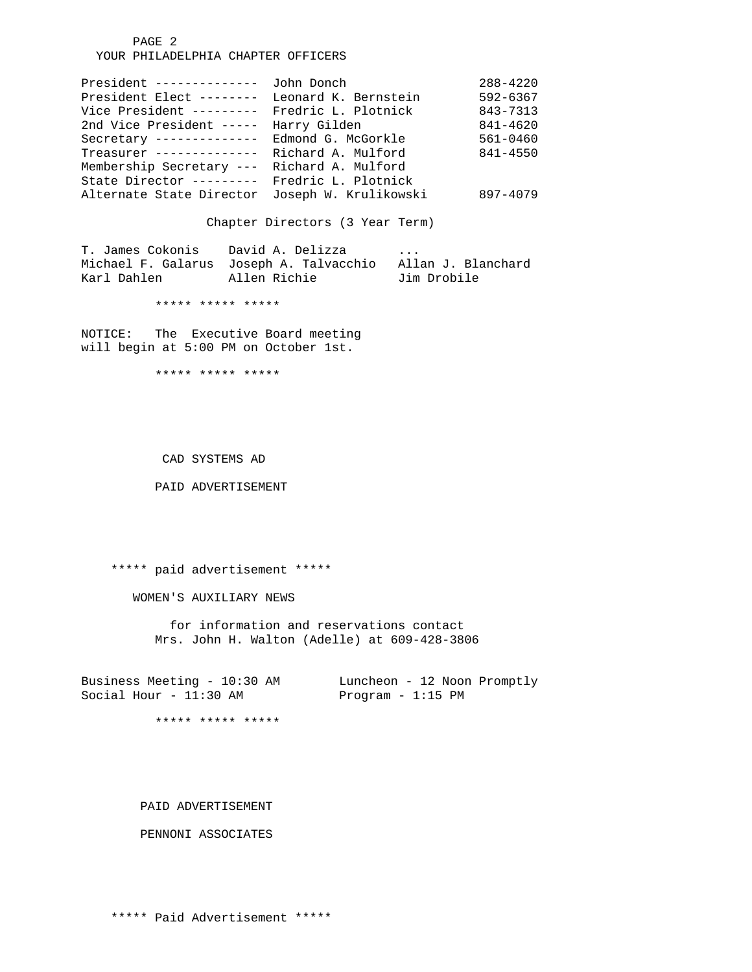PAGE 2 YOUR PHILADELPHIA CHAPTER OFFICERS

| President --------------                    | John Donch            | $288 - 4220$ |
|---------------------------------------------|-----------------------|--------------|
| President Elect --------                    | Leonard K. Bernstein  | $592 - 6367$ |
| Vice President ---------                    | Fredric L. Plotnick   | 843-7313     |
| 2nd Vice President -----                    | Harry Gilden          | 841-4620     |
| Secretary --------------                    | Edmond G. McGorkle    | $561 - 0460$ |
| Treasurer --------------                    | Richard A. Mulford    | 841-4550     |
| Membership Secretary --- Richard A. Mulford |                       |              |
| State Director ---------                    | Fredric L. Plotnick   |              |
| Alternate State Director                    | Joseph W. Krulikowski | 897-4079     |

Chapter Directors (3 Year Term)

T. James Cokonis David A. Delizza ... Michael F. Galarus Joseph A. Talvacchio Allan J. Blanchard Karl Dahlen Allen Richie Jim Drobile

\*\*\*\*\* \*\*\*\*\* \*\*\*\*\*

NOTICE: The Executive Board meeting will begin at 5:00 PM on October 1st.

\*\*\*\*\* \*\*\*\*\* \*\*\*\*\*

CAD SYSTEMS AD

PAID ADVERTISEMENT

\*\*\*\*\* paid advertisement \*\*\*\*\*

WOMEN'S AUXILIARY NEWS

 for information and reservations contact Mrs. John H. Walton (Adelle) at 609-428-3806

Business Meeting - 10:30 AM Luncheon - 12 Noon Promptly Social Hour - 11:30 AM Program - 1:15 PM

\*\*\*\*\* \*\*\*\*\* \*\*\*\*\*

PAID ADVERTISEMENT

PENNONI ASSOCIATES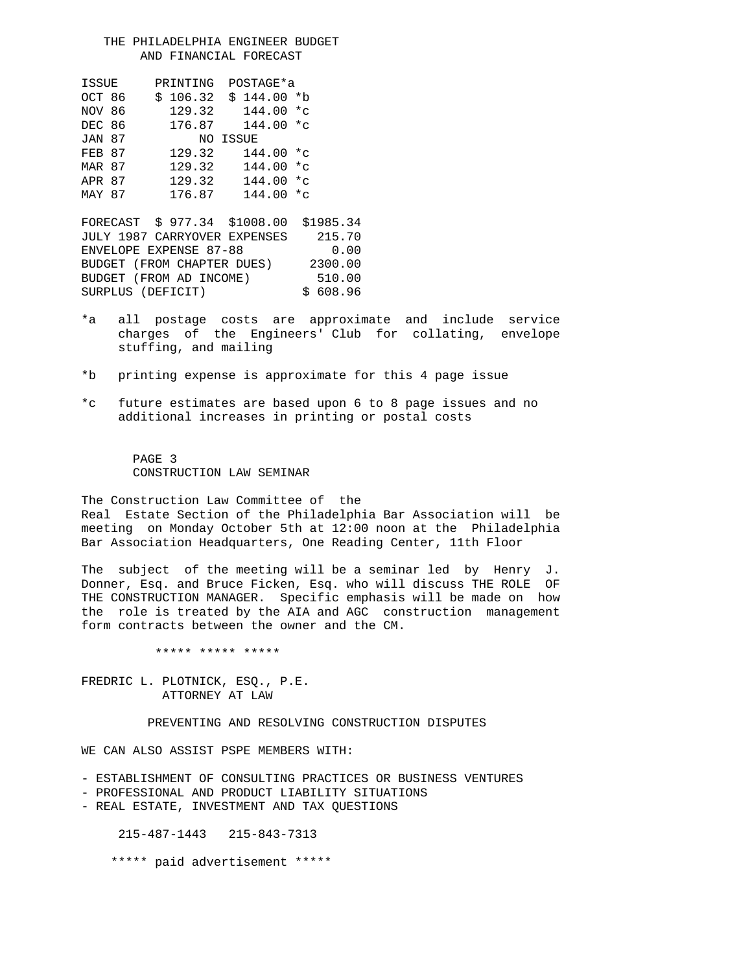THE PHILADELPHIA ENGINEER BUDGET AND FINANCIAL FORECAST

| ISSUE         | PRINTING |          | POSTAGE*a    |  |  |  |  |
|---------------|----------|----------|--------------|--|--|--|--|
| OCT 86        | \$106.32 |          | $$144.00$ *b |  |  |  |  |
| NOV 86        | 129.32   |          | 144.00 *c    |  |  |  |  |
| DEC 86        | 176.87   |          | 144.00 *c    |  |  |  |  |
| <b>JAN 87</b> |          | NO ISSUE |              |  |  |  |  |
| FEB 87        | 129.32   |          | $144.00 *c$  |  |  |  |  |
| MAR 87        | 129.32   |          | $144.00 *c$  |  |  |  |  |
| APR 87        | 129.32   |          | $144.00 *c$  |  |  |  |  |
| MAY 87        | 176.87   |          | $144.00 *c$  |  |  |  |  |

FORECAST \$ 977.34 \$1008.00 \$1985.34 JULY 1987 CARRYOVER EXPENSES 215.70 ENVELOPE EXPENSE 87-88 0.00<br>BUDGET (FROM CHAPTER DUES) 2300.00 BUDGET (FROM CHAPTER DUES) BUDGET (FROM AD INCOME) 510.00 SURPLUS (DEFICIT)  $$608.96$ 

- \*a all postage costs are approximate and include service charges of the Engineers' Club for collating, envelope stuffing, and mailing
- \*b printing expense is approximate for this 4 page issue
- \*c future estimates are based upon 6 to 8 page issues and no additional increases in printing or postal costs

 PAGE 3 CONSTRUCTION LAW SEMINAR

The Construction Law Committee of the Real Estate Section of the Philadelphia Bar Association will be meeting on Monday October 5th at 12:00 noon at the Philadelphia Bar Association Headquarters, One Reading Center, 11th Floor

The subject of the meeting will be a seminar led by Henry J. Donner, Esq. and Bruce Ficken, Esq. who will discuss THE ROLE OF THE CONSTRUCTION MANAGER. Specific emphasis will be made on how the role is treated by the AIA and AGC construction management form contracts between the owner and the CM.

\*\*\*\*\* \*\*\*\*\* \*\*\*\*\*

FREDRIC L. PLOTNICK, ESQ., P.E. ATTORNEY AT LAW

## PREVENTING AND RESOLVING CONSTRUCTION DISPUTES

WE CAN ALSO ASSIST PSPE MEMBERS WITH:

- ESTABLISHMENT OF CONSULTING PRACTICES OR BUSINESS VENTURES
- PROFESSIONAL AND PRODUCT LIABILITY SITUATIONS
- REAL ESTATE, INVESTMENT AND TAX QUESTIONS

215-487-1443 215-843-7313

\*\*\*\*\* paid advertisement \*\*\*\*\*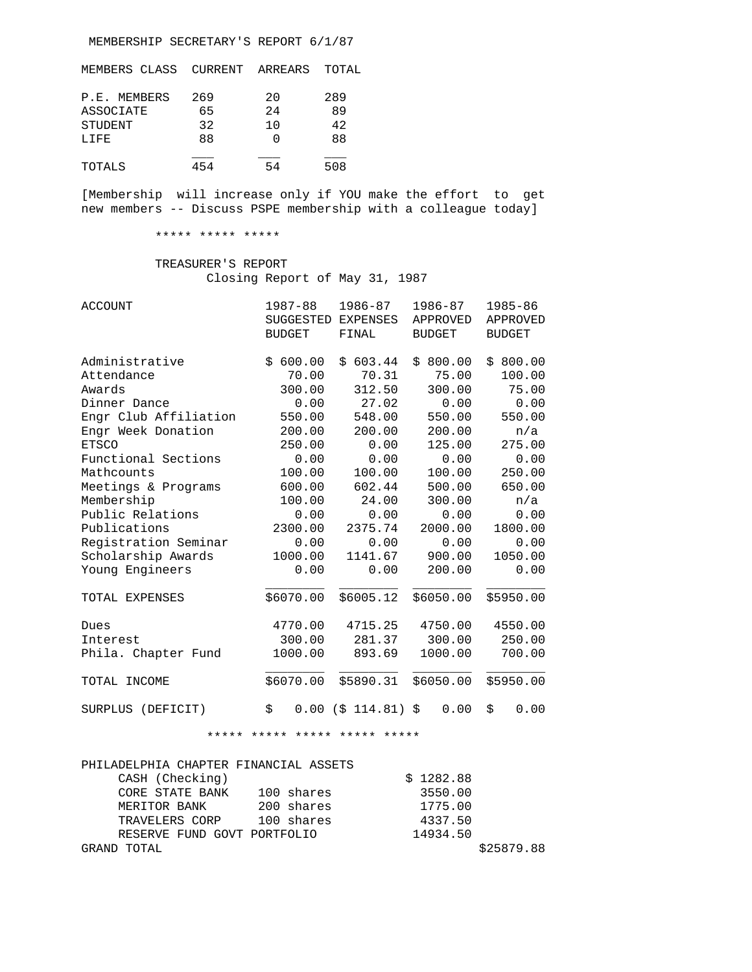MEMBERSHIP SECRETARY'S REPORT 6/1/87

| MEMBERS CLASS | CURRENT ARREARS |     | TOTAL |
|---------------|-----------------|-----|-------|
| P.E. MEMBERS  | 269             | 20  | 289   |
| ASSOCIATE     | 65              | 2.4 | 89    |
| STUDENT       | 32              | 10  | 42    |
| LIFE          | 88              |     | 88    |
| TOTALS        | 454             | 54  | 508   |

[Membership will increase only if YOU make the effort to get new members -- Discuss PSPE membership with a colleague today]

## \*\*\*\*\* \*\*\*\*\* \*\*\*\*\*

## TREASURER'S REPORT Closing Report of May 31, 1987

| <b>ACCOUNT</b>        | 1987-88<br><b>SUGGESTED</b><br><b>BUDGET</b> | 1986-87<br>EXPENSES<br>FINAL | 1986-87<br>APPROVED<br><b>BUDGET</b> | 1985-86<br>APPROVED<br><b>BUDGET</b> |
|-----------------------|----------------------------------------------|------------------------------|--------------------------------------|--------------------------------------|
| Administrative        | \$600.00                                     | 603.44<br>\$                 | \$800.00                             | \$800.00                             |
| Attendance            | 70.00                                        | 70.31                        | 75.00                                | 100.00                               |
| Awards                | 300.00                                       | 312.50                       | 300.00                               | 75.00                                |
| Dinner Dance          | 0.00                                         | 27.02                        | 0.00                                 | 0.00                                 |
| Engr Club Affiliation | 550.00                                       | 548.00                       | 550.00                               | 550.00                               |
| Engr Week Donation    | 200.00                                       | 200.00                       | 200.00                               | n/a                                  |
| <b>ETSCO</b>          | 250.00                                       | 0.00                         | 125.00                               | 275.00                               |
| Functional Sections   | 0.00                                         | 0.00                         | 0.00                                 | 0.00                                 |
| Mathcounts            | 100.00                                       | 100.00                       | 100.00                               | 250.00                               |
| Meetings & Programs   | 600.00                                       | 602.44                       | 500.00                               | 650.00                               |
| Membership            | 100.00                                       | 24.00                        | 300.00                               | n/a                                  |
| Public Relations      | 0.00                                         | 0.00                         | 0.00                                 | 0.00                                 |
| Publications          | 2300.00                                      | 2375.74                      | 2000.00                              | 1800.00                              |
| Registration Seminar  | 0.00                                         | 0.00                         | 0.00                                 | 0.00                                 |
| Scholarship Awards    | 1000.00                                      | 1141.67                      | 900.00                               | 1050.00                              |
| Young Engineers       | 0.00                                         | 0.00                         | 200.00                               | 0.00                                 |
| TOTAL EXPENSES        | \$6070.00                                    | \$6005.12                    | \$6050.00                            | \$5950.00                            |
| Dues                  | 4770.00                                      | 4715.25                      | 4750.00                              | 4550.00                              |
| Interest              | 300.00                                       | 281.37                       | 300.00                               | 250.00                               |
| Phila. Chapter Fund   | 1000.00                                      | 893.69                       | 1000.00                              | 700.00                               |
| TOTAL INCOME          | \$6070.00                                    | \$5890.31                    | \$6050.00                            | \$5950.00                            |
| SURPLUS (DEFICIT)     | \$<br>0.00                                   | $($ \$ 114.81) \$            | 0.00                                 | \$<br>0.00                           |

\*\*\*\*\* \*\*\*\*\* \*\*\*\*\* \*\*\*\*\* \*\*\*\*\*

| PHILADELPHIA CHAPTER FINANCIAL ASSETS |            |
|---------------------------------------|------------|
| CASH (Checking)                       | \$1282.88  |
| 100 shares<br>CORE STATE BANK         | 3550.00    |
| 200 shares<br>MERITOR BANK            | 1775.00    |
| 100 shares<br>TRAVELERS CORP          | 4337.50    |
| RESERVE FUND GOVT PORTFOLIO           | 14934.50   |
| GRAND TOTAL                           | \$25879.88 |